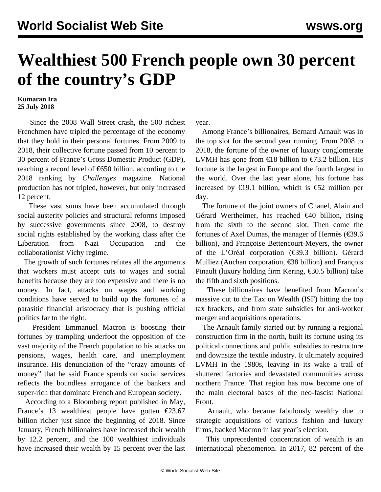## **Wealthiest 500 French people own 30 percent of the country's GDP**

## **Kumaran Ira 25 July 2018**

 Since the 2008 Wall Street crash, the 500 richest Frenchmen have tripled the percentage of the economy that they hold in their personal fortunes. From 2009 to 2018, their collective fortune passed from 10 percent to 30 percent of France's Gross Domestic Product (GDP), reaching a record level of €650 billion, according to the 2018 ranking by *Challenges* magazine. National production has not tripled, however, but only increased 12 percent.

 These vast sums have been accumulated through social austerity policies and structural reforms imposed by successive governments since 2008, to destroy social rights established by the working class after the Liberation from Nazi Occupation and the collaborationist Vichy regime.

 The growth of such fortunes refutes all the arguments that workers must accept cuts to wages and social benefits because they are too expensive and there is no money. In fact, attacks on wages and working conditions have served to build up the fortunes of a parasitic financial aristocracy that is pushing official politics far to the right.

 President Emmanuel Macron is boosting their fortunes by trampling underfoot the opposition of the vast majority of the French population to his attacks on pensions, wages, health care, and unemployment insurance. His denunciation of the "crazy amounts of money" that he said France spends on social services reflects the boundless arrogance of the bankers and super-rich that dominate French and European society.

 According to a Bloomberg report published in May, France's 13 wealthiest people have gotten  $\epsilon$ 23.67 billion richer just since the beginning of 2018. Since January, French billionaires have increased their wealth by 12.2 percent, and the 100 wealthiest individuals have increased their wealth by 15 percent over the last

year.

 Among France's billionaires, Bernard Arnault was in the top slot for the second year running. From 2008 to 2018, the fortune of the owner of luxury conglomerate LVMH has gone from €18 billion to €73.2 billion. His fortune is the largest in Europe and the fourth largest in the world. Over the last year alone, his fortune has increased by  $\epsilon$ 19.1 billion, which is  $\epsilon$ 52 million per day.

 The fortune of the joint owners of Chanel, Alain and Gérard Wertheimer, has reached  $\epsilon$ 40 billion, rising from the sixth to the second slot. Then come the fortunes of Axel Dumas, the manager of Hermès (€39.6 billion), and Françoise Bettencourt-Meyers, the owner of the L'Oréal corporation (€39.3 billion). Gérard Mulliez (Auchan corporation, €38 billion) and François Pinault (luxury holding firm Kering, €30.5 billion) take the fifth and sixth positions.

 These billionaires have benefited from Macron's massive cut to the Tax on Wealth (ISF) hitting the top tax brackets, and from state subsidies for anti-worker merger and acquisitions operations.

 The Arnault family started out by running a regional construction firm in the north, built its fortune using its political connections and public subsidies to restructure and downsize the textile industry. It ultimately acquired LVMH in the 1980s, leaving in its wake a trail of shuttered factories and devastated communities across northern France. That region has now become one of the main electoral bases of the neo-fascist National Front.

 Arnault, who became fabulously wealthy due to strategic acquisitions of various fashion and luxury firms, backed Macron in last year's election.

 This unprecedented concentration of wealth is an international phenomenon. In 2017, 82 percent of the